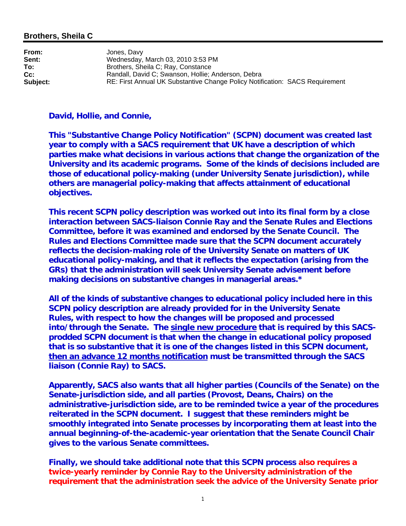## **Brothers, Sheila C**

| From:    | Jones, Davy                                                                  |
|----------|------------------------------------------------------------------------------|
| Sent:    | Wednesday, March 03, 2010 3:53 PM                                            |
| To:      | Brothers, Sheila C; Ray, Constance                                           |
| $Cc$ :   | Randall, David C; Swanson, Hollie; Anderson, Debra                           |
| Subject: | RE: First Annual UK Substantive Change Policy Notification: SACS Requirement |

**David, Hollie, and Connie,** 

**This "Substantive Change Policy Notification" (SCPN) document was created last year to comply with a SACS requirement that UK have a description of which parties make what decisions in various actions that change the organization of the University and its academic programs. Some of the kinds of decisions included are those of educational policy-making (under University Senate jurisdiction), while others are managerial policy-making that affects attainment of educational objectives.** 

**This recent SCPN policy description was worked out into its final form by a close interaction between SACS-liaison Connie Ray and the Senate Rules and Elections Committee, before it was examined and endorsed by the Senate Council. The Rules and Elections Committee made sure that the SCPN document accurately reflects the decision-making role of the University Senate on matters of UK educational policy-making, and that it reflects the expectation (arising from the GRs) that the administration will seek University Senate advisement before making decisions on substantive changes in managerial areas.\*** 

**All of the kinds of substantive changes to educational policy included here in this SCPN policy description are already provided for in the University Senate Rules, with respect to how the changes will be proposed and processed into/through the Senate. The single new procedure that is required by this SACSprodded SCPN document is that when the change in educational policy proposed that is so substantive that it is one of the changes listed in this SCPN document, then an advance 12 months notification must be transmitted through the SACS liaison (Connie Ray) to SACS.** 

**Apparently, SACS also wants that all higher parties (Councils of the Senate) on the Senate-jurisdiction side, and all parties (Provost, Deans, Chairs) on the administrative-jurisdiction side, are to be reminded twice a year of the procedures reiterated in the SCPN document. I suggest that these reminders might be smoothly integrated into Senate processes by incorporating them at least into the annual beginning-of-the-academic-year orientation that the Senate Council Chair gives to the various Senate committees.** 

**Finally, we should take additional note that this SCPN process also requires a twice-yearly reminder by Connie Ray to the University administration of the requirement that the administration seek the advice of the University Senate prior**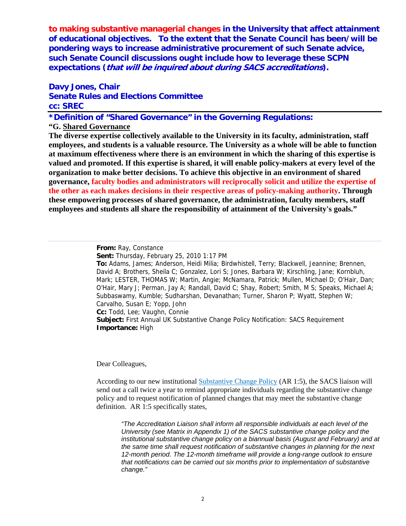**to making substantive managerial changes in the University that affect attainment of educational objectives. To the extent that the Senate Council has been/will be pondering ways to increase administrative procurement of such Senate advice, such Senate Council discussions ought include how to leverage these SCPN expectations (that will be inquired about during SACS accreditations).** 

## **Davy Jones, Chair Senate Rules and Elections Committee cc: SREC**

**\*Definition of "Shared Governance" in the Governing Regulations:** 

**"G. Shared Governance** 

**The diverse expertise collectively available to the University in its faculty, administration, staff employees, and students is a valuable resource. The University as a whole will be able to function at maximum effectiveness where there is an environment in which the sharing of this expertise is valued and promoted. If this expertise is shared, it will enable policy-makers at every level of the organization to make better decisions. To achieve this objective in an environment of shared governance, faculty bodies and administrators will reciprocally solicit and utilize the expertise of the other as each makes decisions in their respective areas of policy-making authority. Through these empowering processes of shared governance, the administration, faculty members, staff employees and students all share the responsibility of attainment of the University's goals."**

> **From:** Ray, Constance **Sent:** Thursday, February 25, 2010 1:17 PM

**To:** Adams, James; Anderson, Heidi Milia; Birdwhistell, Terry; Blackwell, Jeannine; Brennen, David A; Brothers, Sheila C; Gonzalez, Lori S; Jones, Barbara W; Kirschling, Jane; Kornbluh, Mark; LESTER, THOMAS W; Martin, Angie; McNamara, Patrick; Mullen, Michael D; O'Hair, Dan; O'Hair, Mary J; Perman, Jay A; Randall, David C; Shay, Robert; Smith, M S; Speaks, Michael A; Subbaswamy, Kumble; Sudharshan, Devanathan; Turner, Sharon P; Wyatt, Stephen W; Carvalho, Susan E; Yopp, John

**Cc:** Todd, Lee; Vaughn, Connie

**Subject:** First Annual UK Substantive Change Policy Notification: SACS Requirement **Importance:** High

Dear Colleagues,

According to our new institutional Substantive Change Policy (AR 1:5), the SACS liaison will send out a call twice a year to remind appropriate individuals regarding the substantive change policy and to request notification of planned changes that may meet the substantive change definition. AR 1:5 specifically states,

*"The Accreditation Liaison shall inform all responsible individuals at each level of the University (see Matrix in Appendix 1) of the SACS substantive change policy and the institutional substantive change policy on a biannual basis (August and February) and at the same time shall request notification of substantive changes in planning for the next 12-month period. The 12-month timeframe will provide a long-range outlook to ensure that notifications can be carried out six months prior to implementation of substantive change."*